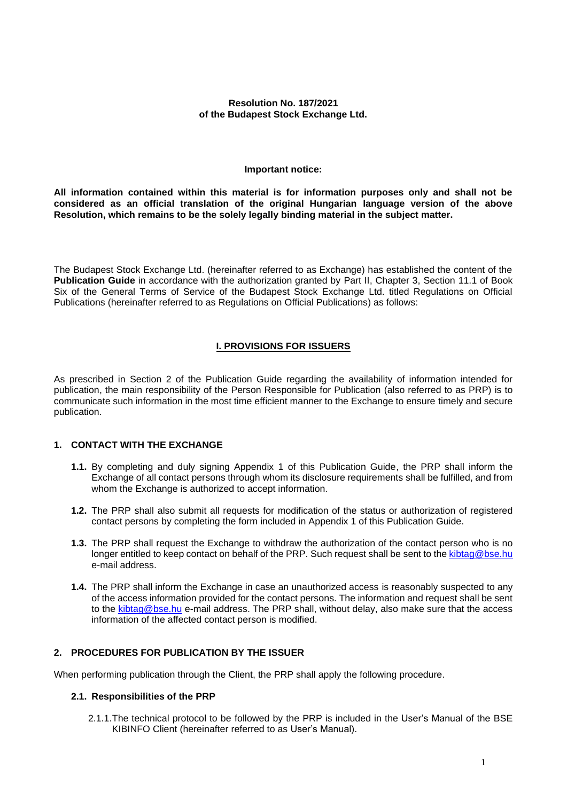#### **Resolution No. 187/2021 of the Budapest Stock Exchange Ltd.**

#### **Important notice:**

**All information contained within this material is for information purposes only and shall not be considered as an official translation of the original Hungarian language version of the above Resolution, which remains to be the solely legally binding material in the subject matter.**

The Budapest Stock Exchange Ltd. (hereinafter referred to as Exchange) has established the content of the **Publication Guide** in accordance with the authorization granted by Part II, Chapter 3, Section 11.1 of Book Six of the General Terms of Service of the Budapest Stock Exchange Ltd. titled Regulations on Official Publications (hereinafter referred to as Regulations on Official Publications) as follows:

# **I. PROVISIONS FOR ISSUERS**

As prescribed in Section [2](#page-0-0) of the Publication Guide regarding the availability of information intended for publication, the main responsibility of the Person Responsible for Publication (also referred to as PRP) is to communicate such information in the most time efficient manner to the Exchange to ensure timely and secure publication.

## **1. CONTACT WITH THE EXCHANGE**

- **1.1.** By completing and duly signing Appendix 1 of this Publication Guide, the PRP shall inform the Exchange of all contact persons through whom its disclosure requirements shall be fulfilled, and from whom the Exchange is authorized to accept information.
- **1.2.** The PRP shall also submit all requests for modification of the status or authorization of registered contact persons by completing the form included in Appendix 1 of this Publication Guide.
- **1.3.** The PRP shall request the Exchange to withdraw the authorization of the contact person who is no longer entitled to keep contact on behalf of the PRP. Such request shall be sent to the [kibtag@bse.hu](mailto:kitbag@bse.hu) e-mail address.
- **1.4.** The PRP shall inform the Exchange in case an unauthorized access is reasonably suspected to any of the access information provided for the contact persons. The information and request shall be sent to the [kibtag@bse.hu](mailto:kibtag@bse.hu) e-mail address. The PRP shall, without delay, also make sure that the access information of the affected contact person is modified.

## <span id="page-0-0"></span>**2. PROCEDURES FOR PUBLICATION BY THE ISSUER**

When performing publication through the Client, the PRP shall apply the following procedure.

#### **2.1. Responsibilities of the PRP**

2.1.1.The technical protocol to be followed by the PRP is included in the User's Manual of the BSE KIBINFO Client (hereinafter referred to as User's Manual).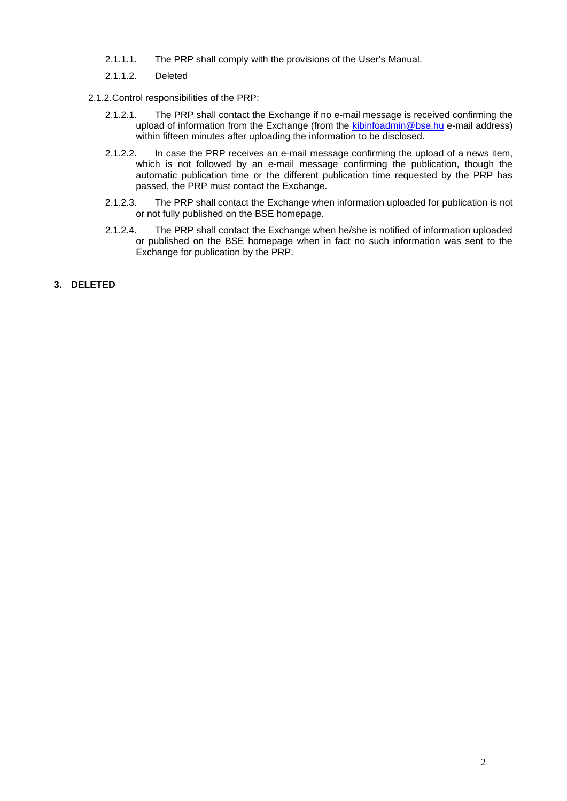- 2.1.1.1. The PRP shall comply with the provisions of the User's Manual.
- 2.1.1.2. Deleted
- 2.1.2.Control responsibilities of the PRP:
	- 2.1.2.1. The PRP shall contact the Exchange if no e-mail message is received confirming the upload of information from the Exchange (from the [kibinfoadmin@bse.hu](mailto:kibinfoadmin@bse.hu) e-mail address) within fifteen minutes after uploading the information to be disclosed.
	- 2.1.2.2. In case the PRP receives an e-mail message confirming the upload of a news item, which is not followed by an e-mail message confirming the publication, though the automatic publication time or the different publication time requested by the PRP has passed, the PRP must contact the Exchange.
	- 2.1.2.3. The PRP shall contact the Exchange when information uploaded for publication is not or not fully published on the BSE homepage.
	- 2.1.2.4. The PRP shall contact the Exchange when he/she is notified of information uploaded or published on the BSE homepage when in fact no such information was sent to the Exchange for publication by the PRP.
- **3. DELETED**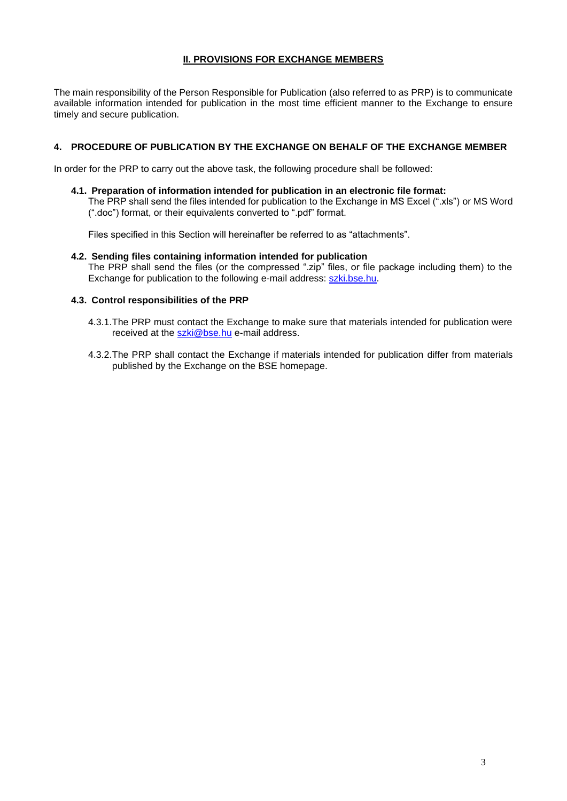# **II. PROVISIONS FOR EXCHANGE MEMBERS**

The main responsibility of the Person Responsible for Publication (also referred to as PRP) is to communicate available information intended for publication in the most time efficient manner to the Exchange to ensure timely and secure publication.

## **4. PROCEDURE OF PUBLICATION BY THE EXCHANGE ON BEHALF OF THE EXCHANGE MEMBER**

In order for the PRP to carry out the above task, the following procedure shall be followed:

**4.1. Preparation of information intended for publication in an electronic file format:**

The PRP shall send the files intended for publication to the Exchange in MS Excel (".xls") or MS Word (".doc") format, or their equivalents converted to ".pdf" format.

Files specified in this Section will hereinafter be referred to as "attachments".

**4.2. Sending files containing information intended for publication** The PRP shall send the files (or the compressed ".zip" files, or file package including them) to the Exchange for publication to the following e-mail address: szki.bse.hu.

#### **4.3. Control responsibilities of the PRP**

- 4.3.1.The PRP must contact the Exchange to make sure that materials intended for publication were received at the szki@bse.hu e-mail address.
- 4.3.2.The PRP shall contact the Exchange if materials intended for publication differ from materials published by the Exchange on the BSE homepage.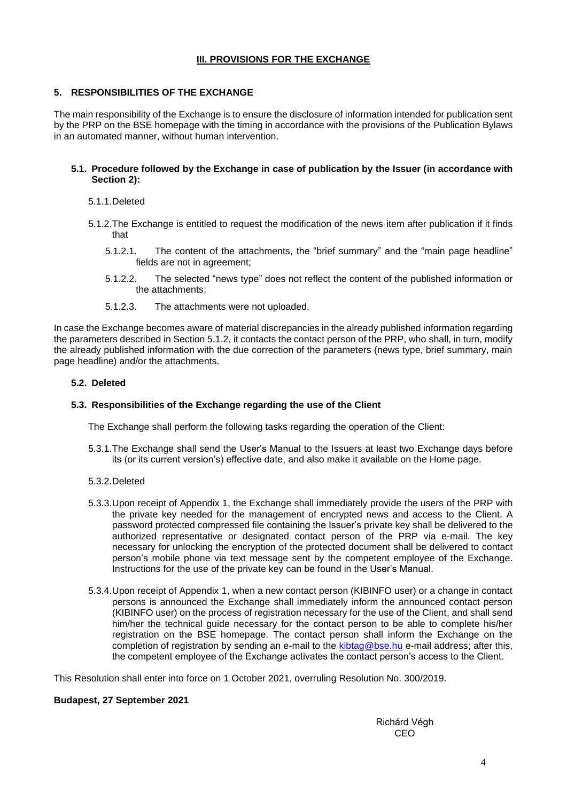## **III. PROVISIONS FOR THE EXCHANGE**

## **5. RESPONSIBILITIES OF THE EXCHANGE**

The main responsibility of the Exchange is to ensure the disclosure of information intended for publication sent by the PRP on the BSE homepage with the timing in accordance with the provisions of the Publication Bylaws in an automated manner, without human intervention.

#### **5.1. Procedure followed by the Exchange in case of publication by the Issuer (in accordance with Section 2):**

#### 5.1.1.Deleted

- 5.1.2.The Exchange is entitled to request the modification of the news item after publication if it finds that
	- 5.1.2.1. The content of the attachments, the "brief summary" and the "main page headline" fields are not in agreement;
	- 5.1.2.2. The selected "news type" does not reflect the content of the published information or the attachments;
	- 5.1.2.3. The attachments were not uploaded.

In case the Exchange becomes aware of material discrepancies in the already published information regarding the parameters described in Section 5.1.2, it contacts the contact person of the PRP, who shall, in turn, modify the already published information with the due correction of the parameters (news type, brief summary, main page headline) and/or the attachments.

## **5.2. Deleted**

## **5.3. Responsibilities of the Exchange regarding the use of the Client**

The Exchange shall perform the following tasks regarding the operation of the Client:

5.3.1.The Exchange shall send the User's Manual to the Issuers at least two Exchange days before its (or its current version's) effective date, and also make it available on the Home page.

## 5.3.2.Deleted

- 5.3.3.Upon receipt of Appendix 1, the Exchange shall immediately provide the users of the PRP with the private key needed for the management of encrypted news and access to the Client. A password protected compressed file containing the Issuer's private key shall be delivered to the authorized representative or designated contact person of the PRP via e-mail. The key necessary for unlocking the encryption of the protected document shall be delivered to contact person's mobile phone via text message sent by the competent employee of the Exchange. Instructions for the use of the private key can be found in the User's Manual.
- 5.3.4.Upon receipt of Appendix 1, when a new contact person (KIBINFO user) or a change in contact persons is announced the Exchange shall immediately inform the announced contact person (KIBINFO user) on the process of registration necessary for the use of the Client, and shall send him/her the technical guide necessary for the contact person to be able to complete his/her registration on the BSE homepage. The contact person shall inform the Exchange on the completion of registration by sending an e-mail to the kibtag@bse.hu e-mail address; after this, the competent employee of the Exchange activates the contact person's access to the Client.

This Resolution shall enter into force on 1 October 2021, overruling Resolution No. 300/2019.

#### **Budapest, 27 September 2021**

Richárd Végh CEO